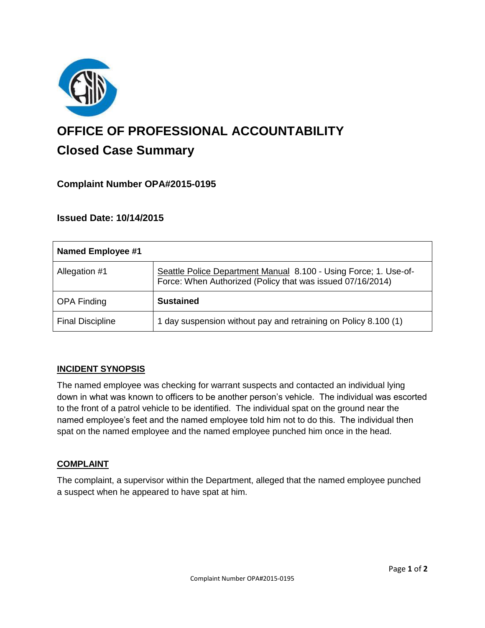

# **OFFICE OF PROFESSIONAL ACCOUNTABILITY Closed Case Summary**

## **Complaint Number OPA#2015-0195**

## **Issued Date: 10/14/2015**

| Named Employee #1       |                                                                                                                                |
|-------------------------|--------------------------------------------------------------------------------------------------------------------------------|
| Allegation #1           | Seattle Police Department Manual 8.100 - Using Force; 1. Use-of-<br>Force: When Authorized (Policy that was issued 07/16/2014) |
| <b>OPA Finding</b>      | <b>Sustained</b>                                                                                                               |
| <b>Final Discipline</b> | 1 day suspension without pay and retraining on Policy 8.100 (1)                                                                |

## **INCIDENT SYNOPSIS**

The named employee was checking for warrant suspects and contacted an individual lying down in what was known to officers to be another person's vehicle. The individual was escorted to the front of a patrol vehicle to be identified. The individual spat on the ground near the named employee's feet and the named employee told him not to do this. The individual then spat on the named employee and the named employee punched him once in the head.

#### **COMPLAINT**

The complaint, a supervisor within the Department, alleged that the named employee punched a suspect when he appeared to have spat at him.